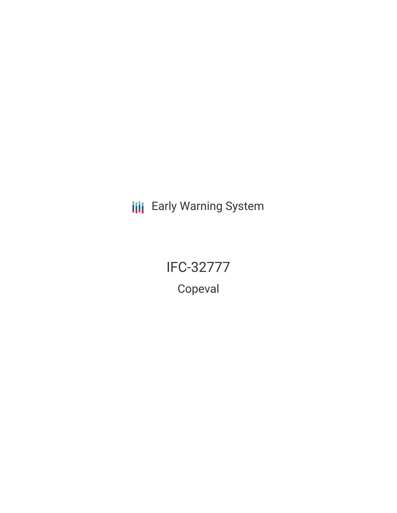**III** Early Warning System

IFC-32777

Copeval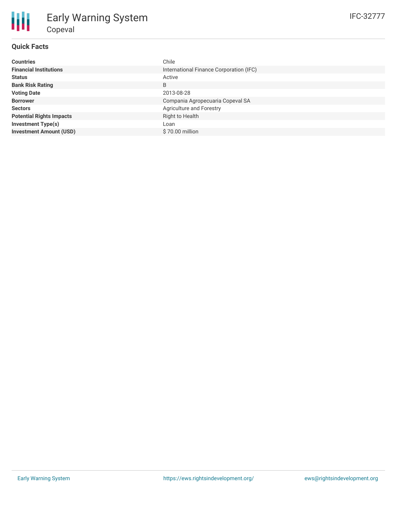# **Quick Facts**

| <b>Countries</b>                | Chile                                   |
|---------------------------------|-----------------------------------------|
| <b>Financial Institutions</b>   | International Finance Corporation (IFC) |
| <b>Status</b>                   | Active                                  |
| <b>Bank Risk Rating</b>         | B                                       |
| <b>Voting Date</b>              | 2013-08-28                              |
| <b>Borrower</b>                 | Compania Agropecuaria Copeval SA        |
| <b>Sectors</b>                  | Agriculture and Forestry                |
| <b>Potential Rights Impacts</b> | Right to Health                         |
| <b>Investment Type(s)</b>       | Loan                                    |
| <b>Investment Amount (USD)</b>  | \$70.00 million                         |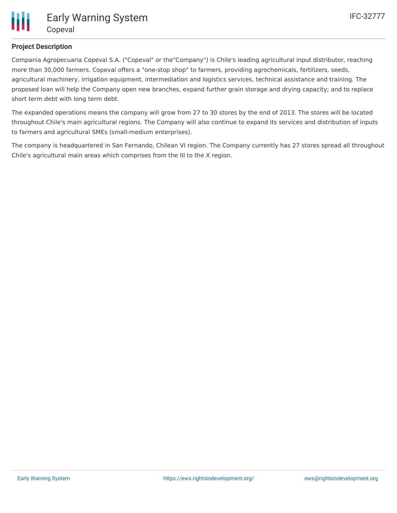

# **Project Description**

Compania Agropecuaria Copeval S.A. ("Copeval" or the"Company") is Chile's leading agricultural input distributor, reaching more than 30,000 farmers. Copeval offers a "one-stop shop" to farmers, providing agrochemicals, fertilizers, seeds, agricultural machinery, irrigation equipment, intermediation and logistics services, technical assistance and training. The proposed loan will help the Company open new branches, expand further grain storage and drying capacity; and to replace short term debt with long term debt.

The expanded operations means the company will grow from 27 to 30 stores by the end of 2013. The stores will be located throughout Chile's main agricultural regions. The Company will also continue to expand its services and distribution of inputs to farmers and agricultural SMEs (small-medium enterprises).

The company is headquartered in San Fernando, Chilean VI region. The Company currently has 27 stores spread all throughout Chile's agricultural main areas which comprises from the III to the X region.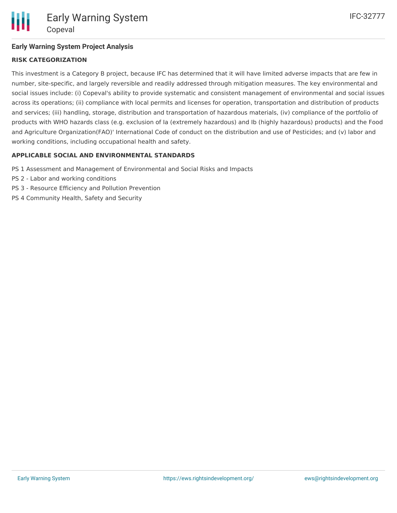# **Early Warning System Project Analysis**

# **RISK CATEGORIZATION**

This investment is a Category B project, because IFC has determined that it will have limited adverse impacts that are few in number, site-specific, and largely reversible and readily addressed through mitigation measures. The key environmental and social issues include: (i) Copeval's ability to provide systematic and consistent management of environmental and social issues across its operations; (ii) compliance with local permits and licenses for operation, transportation and distribution of products and services; (iii) handling, storage, distribution and transportation of hazardous materials, (iv) compliance of the portfolio of products with WHO hazards class (e.g. exclusion of Ia (extremely hazardous) and Ib (highly hazardous) products) and the Food and Agriculture Organization(FAO)' International Code of conduct on the distribution and use of Pesticides; and (v) labor and working conditions, including occupational health and safety.

#### **APPLICABLE SOCIAL AND ENVIRONMENTAL STANDARDS**

- PS 1 Assessment and Management of Environmental and Social Risks and Impacts
- PS 2 Labor and working conditions
- PS 3 Resource Efficiency and Pollution Prevention
- PS 4 Community Health, Safety and Security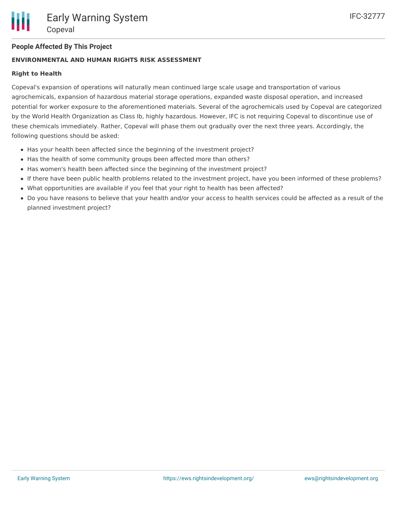# **People Affected By This Project**

#### **ENVIRONMENTAL AND HUMAN RIGHTS RISK ASSESSMENT**

#### **Right to Health**

Copeval's expansion of operations will naturally mean continued large scale usage and transportation of various agrochemicals, expansion of hazardous material storage operations, expanded waste disposal operation, and increased potential for worker exposure to the aforementioned materials. Several of the agrochemicals used by Copeval are categorized by the World Health Organization as Class Ib, highly hazardous. However, IFC is not requiring Copeval to discontinue use of these chemicals immediately. Rather, Copeval will phase them out gradually over the next three years. Accordingly, the following questions should be asked:

- Has your health been affected since the beginning of the investment project?
- Has the health of some community groups been affected more than others?
- Has women's health been affected since the beginning of the investment project?
- If there have been public health problems related to the investment project, have you been informed of these problems?
- What opportunities are available if you feel that your right to health has been affected?
- Do you have reasons to believe that your health and/or your access to health services could be affected as a result of the planned investment project?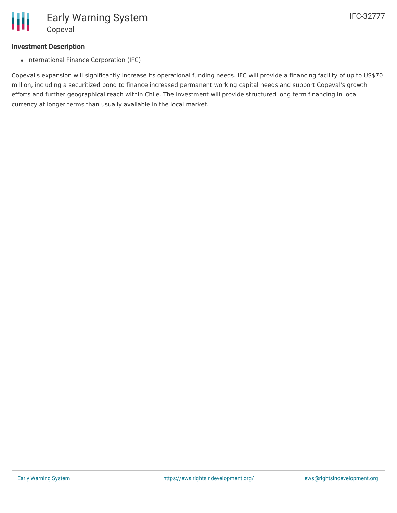#### **Investment Description**

• International Finance Corporation (IFC)

Copeval's expansion will significantly increase its operational funding needs. IFC will provide a financing facility of up to US\$70 million, including a securitized bond to finance increased permanent working capital needs and support Copeval's growth efforts and further geographical reach within Chile. The investment will provide structured long term financing in local currency at longer terms than usually available in the local market.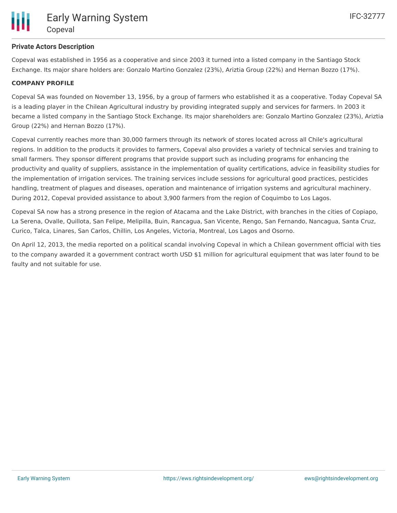# **Private Actors Description**

Copeval was established in 1956 as a cooperative and since 2003 it turned into a listed company in the Santiago Stock Exchange. Its major share holders are: Gonzalo Martino Gonzalez (23%), Ariztia Group (22%) and Hernan Bozzo (17%).

#### **COMPANY PROFILE**

Copeval SA was founded on November 13, 1956, by a group of farmers who established it as a cooperative. Today Copeval SA is a leading player in the Chilean Agricultural industry by providing integrated supply and services for farmers. In 2003 it became a listed company in the Santiago Stock Exchange. Its major shareholders are: Gonzalo Martino Gonzalez (23%), Ariztia Group (22%) and Hernan Bozzo (17%).

Copeval currently reaches more than 30,000 farmers through its network of stores located across all Chile's agricultural regions. In addition to the products it provides to farmers, Copeval also provides a variety of technical servies and training to small farmers. They sponsor different programs that provide support such as including programs for enhancing the productivity and quality of suppliers, assistance in the implementation of quality certifications, advice in feasibility studies for the implementation of irrigation services. The training services include sessions for agricultural good practices, pesticides handling, treatment of plagues and diseases, operation and maintenance of irrigation systems and agricultural machinery. During 2012, Copeval provided assistance to about 3,900 farmers from the region of Coquimbo to Los Lagos.

Copeval SA now has a strong presence in the region of Atacama and the Lake District, with branches in the cities of Copiapo, La Serena, Ovalle, Quillota, San Felipe, Melipilla, Buin, Rancagua, San Vicente, Rengo, San Fernando, Nancagua, Santa Cruz, Curico, Talca, Linares, San Carlos, Chillin, Los Angeles, Victoria, Montreal, Los Lagos and Osorno.

On April 12, 2013, the media reported on a political scandal involving Copeval in which a Chilean government official with ties to the company awarded it a government contract worth USD \$1 million for agricultural equipment that was later found to be faulty and not suitable for use.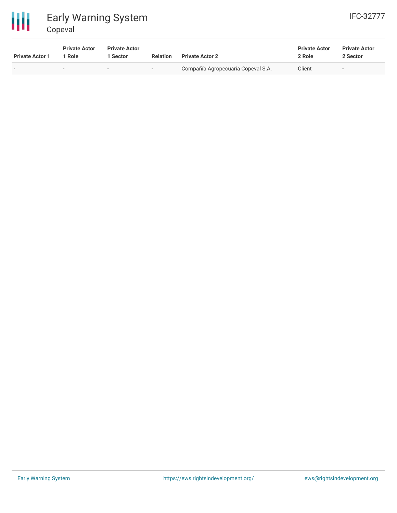

# Early Warning System Copeval

| <b>Private Actor 1</b>   | <b>Private Actor</b><br>1 Role | <b>Private Actor</b><br>1 Sector | <b>Relation</b> | <b>Private Actor 2</b>             | <b>Private Actor</b><br>2 Role | <b>Private Actor</b><br>2 Sector |
|--------------------------|--------------------------------|----------------------------------|-----------------|------------------------------------|--------------------------------|----------------------------------|
| $\overline{\phantom{0}}$ | $\sim$                         | $\overline{\phantom{0}}$         | $\sim$          | Compañía Agropecuaria Copeval S.A. | Client                         | $\overline{\phantom{0}}$         |